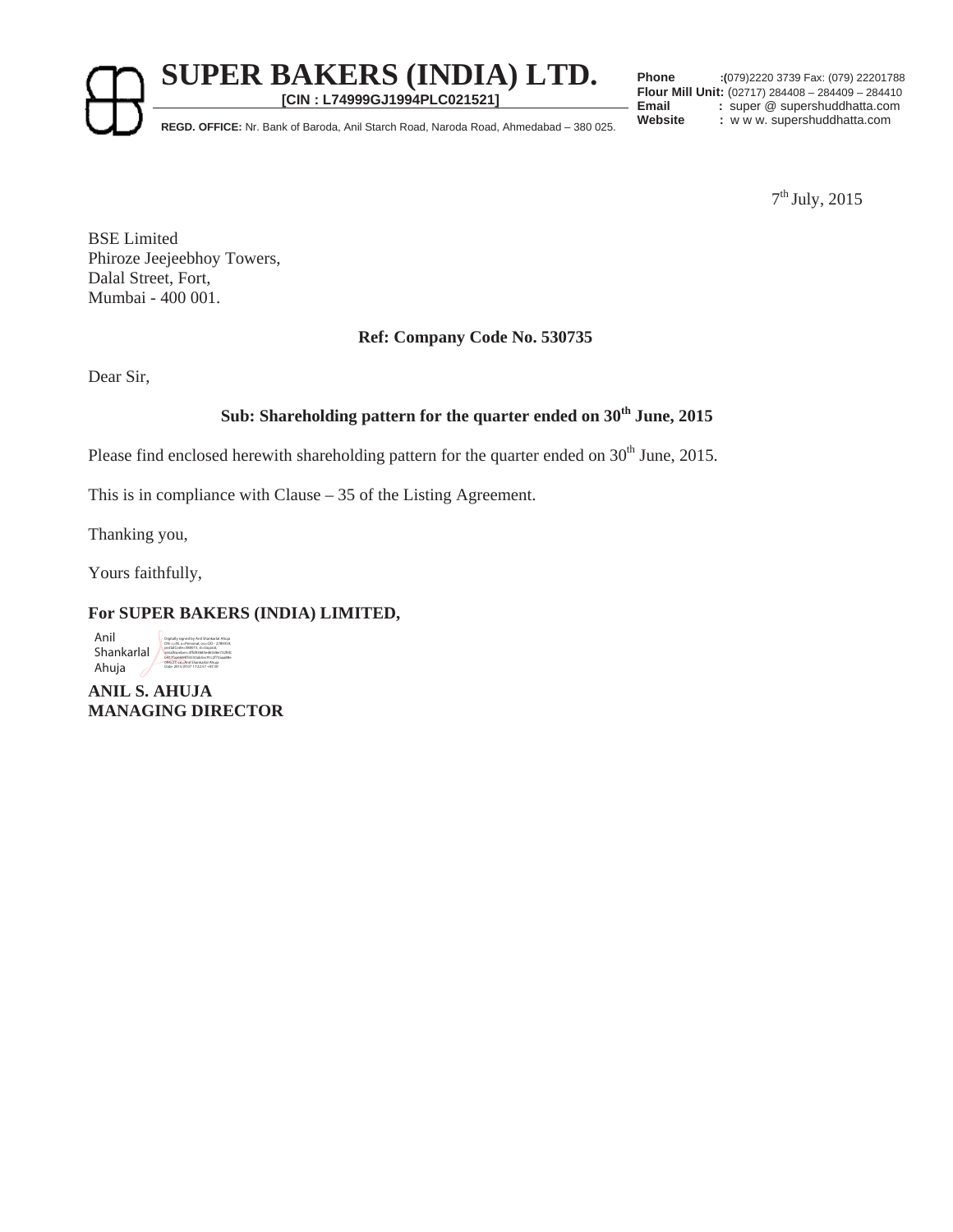**SUPER BAKERS (INDIA) LTD.** 

**[CIN : L74999GJ1994PLC021521]**

**Phone :(**079)2220 3739 Fax: (079) 22201788 **Flour Mill Unit:** (02717) 284408 – 284409 – 284410 **Email** : super @ supershuddhatta.com<br> **Website** : www.supershuddhatta.com

Website : **REGD. OFFICE:** Nr. Bank of Baroda, Anil Starch Road, Naroda Road, Ahmedabad – 380 025.

7th July, 2015

BSE Limited Phiroze Jeejeebhoy Towers, Dalal Street, Fort, Mumbai - 400 001.

## **Ref: Company Code No. 530735**

Dear Sir,

# **Sub: Shareholding pattern for the quarter ended on 30th June, 2015**

Please find enclosed herewith shareholding pattern for the quarter ended on  $30<sup>th</sup>$  June, 2015.

This is in compliance with Clause – 35 of the Listing Agreement.

Thanking you,

Yours faithfully,

## **For SUPER BAKERS (INDIA) LIMITED,**

Anil Shankarlal Ahuja

Digitally signed by Anil Shankarlal Ahuja DN: c=IN, o=Personal, ou=CID - 2789359, postalCode=380015, st=Gujarat, serialNumber=3ffd93683ed63d6e732f6fc b417faa6684f55550ab5ec91c2f73aaa88e 094c27, cn=Anil Shankarlal Ahuja Date: 2015.07.07 17:22:57 +05'30'

**ANIL S. AHUJA MANAGING DIRECTOR**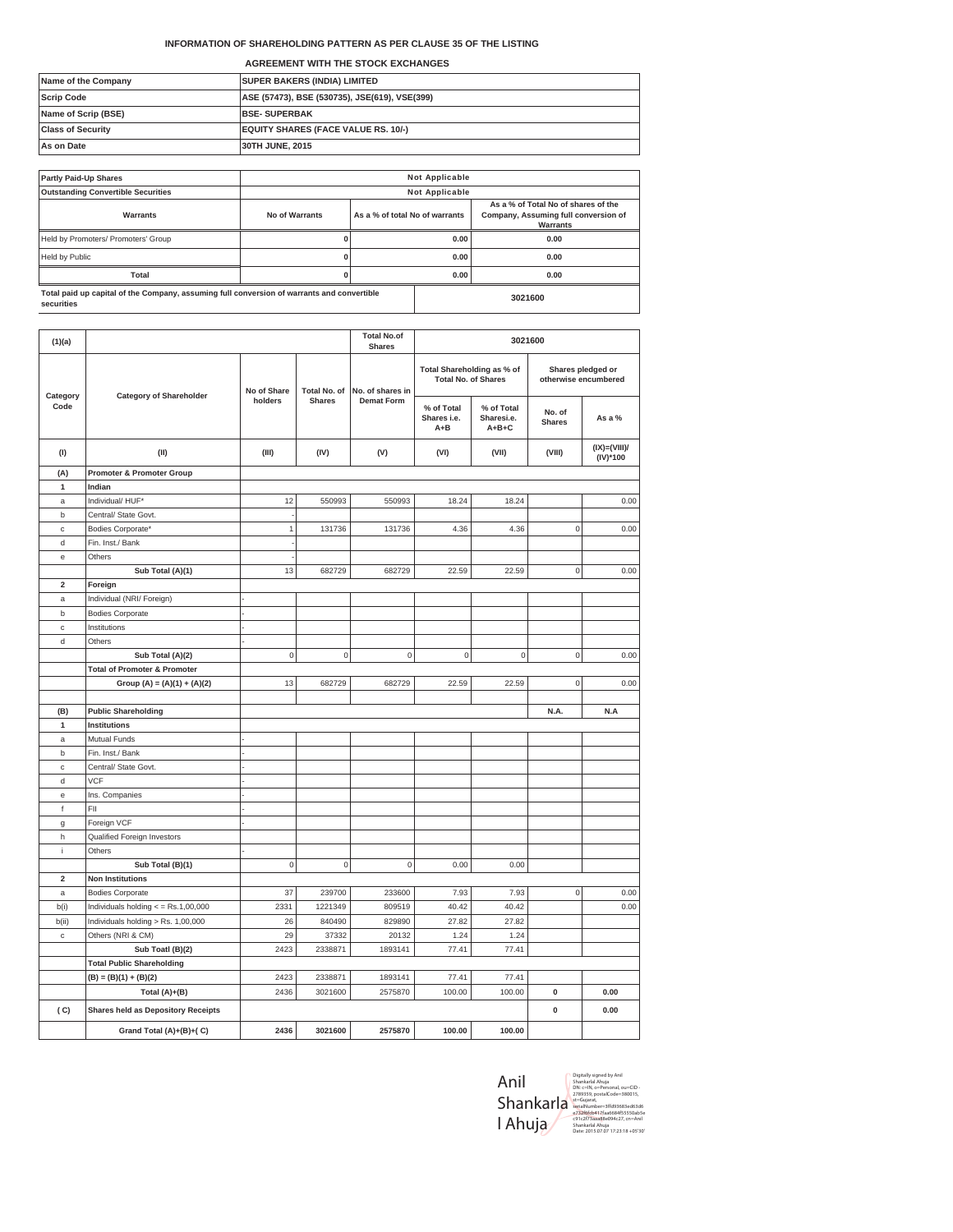### **INFORMATION OF SHAREHOLDING PATTERN AS PER CLAUSE 35 OF THE LISTING**

**AGREEMENT WITH THE STOCK EXCHANGES**

| Name of the Company      | <b>SUPER BAKERS (INDIA) LIMITED</b>           |
|--------------------------|-----------------------------------------------|
| <b>Scrip Code</b>        | ASE (57473), BSE (530735), JSE(619), VSE(399) |
| Name of Scrip (BSE)      | <b>BSE-SUPERBAK</b>                           |
| <b>Class of Security</b> | <b>EQUITY SHARES (FACE VALUE RS. 10/-)</b>    |
| As on Date               | 30TH JUNE, 2015                               |

| <b>Partly Paid-Up Shares</b>                                                                             | <b>Not Applicable</b> |                                |  |                                                                                         |  |
|----------------------------------------------------------------------------------------------------------|-----------------------|--------------------------------|--|-----------------------------------------------------------------------------------------|--|
| <b>Outstanding Convertible Securities</b>                                                                | <b>Not Applicable</b> |                                |  |                                                                                         |  |
| Warrants                                                                                                 | No of Warrants        | As a % of total No of warrants |  | As a % of Total No of shares of the<br>Company, Assuming full conversion of<br>Warrants |  |
| Held by Promoters/ Promoters' Group                                                                      |                       | 0.00                           |  | 0.00                                                                                    |  |
| Held by Public                                                                                           |                       | 0.00                           |  | 0.00                                                                                    |  |
| <b>Total</b>                                                                                             |                       | 0.00                           |  | 0.00                                                                                    |  |
| Total paid up capital of the Company, assuming full conversion of warrants and convertible<br>securities | 3021600               |                                |  |                                                                                         |  |

| (1)(a)<br>Category<br>Code |                                           |                     |               | <b>Total No.of</b><br><b>Shares</b> |                                                          | 3021600                                 |                                           |                           |
|----------------------------|-------------------------------------------|---------------------|---------------|-------------------------------------|----------------------------------------------------------|-----------------------------------------|-------------------------------------------|---------------------------|
|                            |                                           |                     |               |                                     |                                                          |                                         |                                           |                           |
|                            | <b>Category of Shareholder</b>            | No of Share         | Total No. of  | No. of shares in                    | Total Shareholding as % of<br><b>Total No. of Shares</b> |                                         | Shares pledged or<br>otherwise encumbered |                           |
|                            |                                           | holders             | <b>Shares</b> | <b>Demat Form</b>                   | % of Total<br>Shares i.e.<br>$A + B$                     | % of Total<br>Sharesi.e.<br>$A + B + C$ | No. of<br><b>Shares</b>                   | As a %                    |
| (1)                        | (II)                                      | (III)               | (IV)          | (V)                                 | (VI)                                                     | (VII)                                   | (VIII)                                    | $(IX)=(VIII)$<br>(IV)*100 |
| (A)                        | <b>Promoter &amp; Promoter Group</b>      |                     |               |                                     |                                                          |                                         |                                           |                           |
| $\mathbf{1}$               | Indian                                    |                     |               |                                     |                                                          |                                         |                                           |                           |
| $\mathsf a$                | Individual/ HUF*                          | 12                  | 550993        | 550993                              | 18.24                                                    | 18.24                                   |                                           | 0.00                      |
| b                          | Central/ State Govt.                      |                     |               |                                     |                                                          |                                         |                                           |                           |
| с                          | Bodies Corporate'                         | $\mathbf{1}$        | 131736        | 131736                              | 4.36                                                     | 4.36                                    | $\mathbf 0$                               | 0.00                      |
| d                          | Fin. Inst./ Bank                          |                     |               |                                     |                                                          |                                         |                                           |                           |
| e                          | Others                                    |                     |               |                                     |                                                          |                                         |                                           |                           |
|                            | Sub Total (A)(1)                          | 13                  | 682729        | 682729                              | 22.59                                                    | 22.59                                   | $\mathsf{O}\xspace$                       | 0.00                      |
| $\mathbf 2$                | Foreign                                   |                     |               |                                     |                                                          |                                         |                                           |                           |
| $\mathsf{a}$               | Individual (NRI/ Foreign)                 |                     |               |                                     |                                                          |                                         |                                           |                           |
| b                          | <b>Bodies Corporate</b>                   |                     |               |                                     |                                                          |                                         |                                           |                           |
| $\mathbb{C}$               | Institutions                              |                     |               |                                     |                                                          |                                         |                                           |                           |
| d                          | Others                                    |                     |               |                                     |                                                          |                                         |                                           |                           |
|                            | Sub Total (A)(2)                          | $\mathbf 0$         | $\mathbf 0$   | $\mathbf 0$                         | $\mathbf 0$                                              | $\mathbf 0$                             | $\mathsf{O}\xspace$                       | 0.00                      |
|                            | <b>Total of Promoter &amp; Promoter</b>   |                     |               |                                     |                                                          |                                         |                                           |                           |
|                            | Group (A) = $(A)(1) + (A)(2)$             | 13                  | 682729        | 682729                              | 22.59                                                    | 22.59                                   | 0                                         | 0.00                      |
|                            |                                           |                     |               |                                     |                                                          |                                         |                                           |                           |
| (B)                        | <b>Public Shareholding</b>                |                     |               |                                     |                                                          |                                         | N.A.                                      | N.A                       |
| $\mathbf{1}$               | Institutions                              |                     |               |                                     |                                                          |                                         |                                           |                           |
| $\mathsf a$                | Mutual Funds                              |                     |               |                                     |                                                          |                                         |                                           |                           |
| b                          | Fin. Inst./ Bank                          |                     |               |                                     |                                                          |                                         |                                           |                           |
| c                          | Central/ State Govt.                      |                     |               |                                     |                                                          |                                         |                                           |                           |
| d                          | <b>VCF</b>                                |                     |               |                                     |                                                          |                                         |                                           |                           |
| e                          | Ins. Companies                            |                     |               |                                     |                                                          |                                         |                                           |                           |
| $^\mathrm{f}$              | FII                                       |                     |               |                                     |                                                          |                                         |                                           |                           |
| g                          | Foreign VCF                               |                     |               |                                     |                                                          |                                         |                                           |                           |
| h                          | Qualified Foreign Investors               |                     |               |                                     |                                                          |                                         |                                           |                           |
| j                          | Others                                    |                     |               |                                     |                                                          |                                         |                                           |                           |
|                            | Sub Total (B)(1)                          | $\mathsf{O}\xspace$ | $\mathbf 0$   | $\mathsf 0$                         | 0.00                                                     | 0.00                                    |                                           |                           |
| $\overline{\mathbf{2}}$    | <b>Non Institutions</b>                   |                     |               |                                     |                                                          |                                         |                                           |                           |
| $\mathsf{a}$               | <b>Bodies Corporate</b>                   | 37                  | 239700        | 233600                              | 7.93                                                     | 7.93                                    | $\mathbf 0$                               | 0.00                      |
| b(i)                       | Individuals holding $\lt$ = Rs.1,00,000   | 2331                | 1221349       | 809519                              | 40.42                                                    | 40.42                                   |                                           | 0.00                      |
| b(ii)                      | Individuals holding > Rs. 1,00,000        | 26                  | 840490        | 829890                              | 27.82                                                    | 27.82                                   |                                           |                           |
| c                          | Others (NRI & CM)                         | 29                  | 37332         | 20132                               | 1.24                                                     | 1.24                                    |                                           |                           |
|                            | Sub Toatl (B)(2)                          | 2423                | 2338871       | 1893141                             | 77.41                                                    | 77.41                                   |                                           |                           |
|                            | <b>Total Public Shareholding</b>          |                     |               |                                     |                                                          |                                         |                                           |                           |
|                            | $(B) = (B)(1) + (B)(2)$                   | 2423                | 2338871       | 1893141                             | 77.41                                                    | 77.41                                   |                                           |                           |
|                            | Total $(A)+(B)$                           | 2436                | 3021600       | 2575870                             | 100.00                                                   | 100.00                                  | 0                                         | 0.00                      |
| (C)                        | <b>Shares held as Depository Receipts</b> |                     |               |                                     |                                                          |                                         | $\pmb{0}$                                 | 0.00                      |
|                            | Grand Total (A)+(B)+(C)                   | 2436                | 3021600       | 2575870                             | 100.00                                                   | 100.00                                  |                                           |                           |

| Anil      | Digitally signed by Anil<br>Shankarlal Ahuia<br>DN: c=IN, o=Personal, ou=CID -                              |
|-----------|-------------------------------------------------------------------------------------------------------------|
| Shankarla | 2789359. postalCode=380015.<br>st=Guiarat.<br>serialNumber=3ffd93683ed63d6<br>e732f6fcb417faa6684f55550ab5e |
| l Ahuja   | c91c2f73aaa88e094c27.cn=Anil<br>Shankarlal Ahuia<br>Date: 2015.07.07 17:23:18 +05'30'                       |